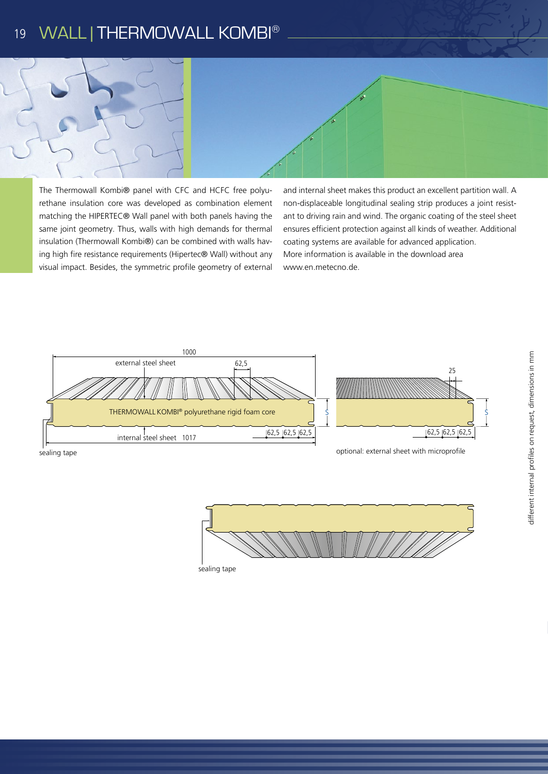#### WALL | THERMOWALL KOMBI® 19



The Thermowall Kombi® panel with CFC and HCFC free polyurethane insulation core was developed as combination element matching the HIPERTEC® Wall panel with both panels having the same joint geometry. Thus, walls with high demands for thermal insulation (Thermowall Kombi®) can be combined with walls having high fire resistance requirements (Hipertec® Wall) without any visual impact. Besides, the symmetric profile geometry of external

and internal sheet makes this product an excellent partition wall. A non-displaceable longitudinal sealing strip produces a joint resistant to driving rain and wind. The organic coating of the steel sheet ensures efficient protection against all kinds of weather. Additional coating systems are available for advanced application. More information is available in the download area www.en.metecno.de.



sealing tape



sealing tape